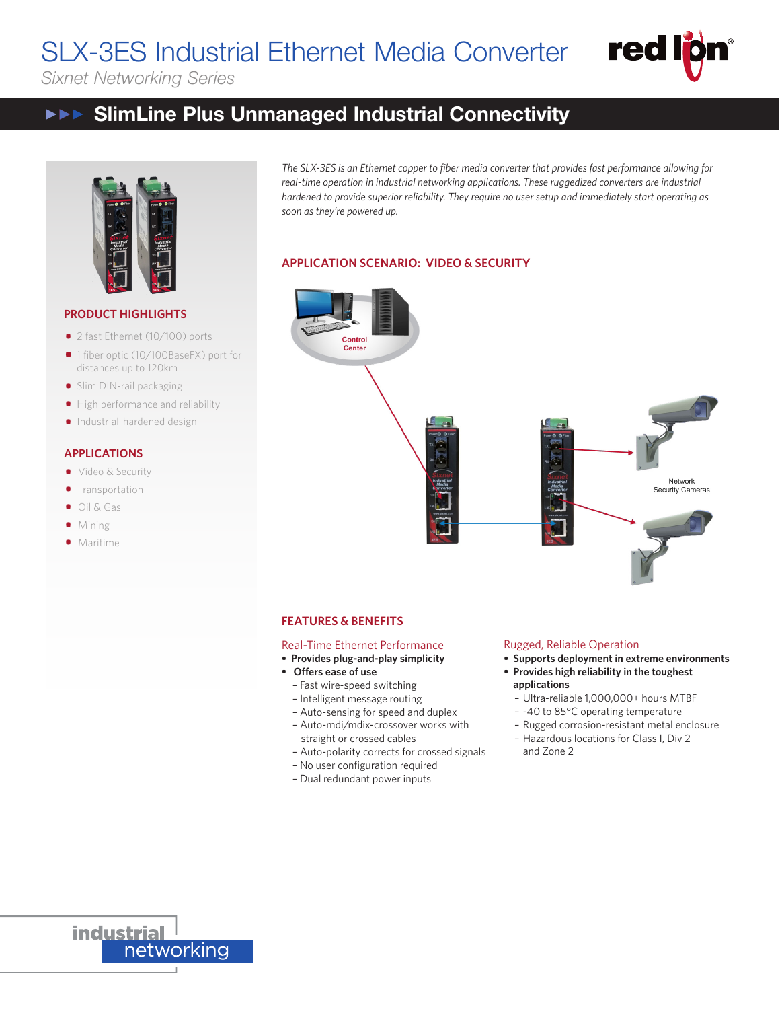#### SLX-3ES Industrial Ethernet Media Converter de i Oringe Ethernet Media Converter **Fed For**

*Sixnet Networking Series*



#### SlimLine Plus Unmanaged Industrial Connectivity  $\mathbf H$  and  $\mathbf H$  and  $\mathbf H$  connectivity  $\blacktriangleright \blacktriangleright \blacktriangleright$ SlimLine Plus Unmanaged Industrial Connectivity



# **PRODUCT HIGHLIGHTS**

- 2 fast Ethernet (10/100) ports
- 2 fast Ethernet (10/100) ports<br>■ 1 fiber optic (10/100BaseFX) port for distances up to 120km
- aistances up to i∠∪km<br>● Slim DIN-rail packaging
- Slim DIN-rail packaging<br>• High performance and reliability
	- Industrial-hardened design Industrial-hardened design

# **APPLICATIONS APPLICATIONS**

- Video & Security Video & Security
- Video & Securi<br>• Transportation
- Oil & Gas Oil & Gas Oil & Gas
- Mining Mining Mining
- Maritime Maritime Maritime

The SLX-3ES is an Ethernet copper to fiber media converter that provides fast performance allowing for real-time operation in industrial networking applications. These ruggedized converters are industrial hardened to provide superior reliability. They require no user setup and immediately start operating as *soon as they're powered up. hardened to provide superior reliability. They require no user setup and immediately start operating as* 

### **APPLICATION SCENARIO: VIDEO & SECURITY**

# Control Center Network **Security Cameras**

## **FEATURES & BENEFITS FEATURES & BENEFITS FEATURES & BENEFITS**

## Real-Time Ethernet Performance Real-Time Ethernet Performance Real-Time Ethernet Performance

- **• Provides plug-and-play simplicity • Provides plug-and-play simplicity • Provides plug-and-play simplicity**
- **• Offers ease of use • Offers ease of use**
- Fast wire-speed switching Fast wire-speed switching **• Offers ease of use**
	- Intelligent message routing Intelligent message routing Fast wire-speed switching
	- Auto-sensing for speed and duplex Auto-sensing for speed and duplex Intelligent message routing
	- Auto-sensing for speed and duplex<br>- Auto-mdi/mdix-crossover works with straight or crossed cables
	- Auto-polarity corrects for crossed signals
	- No user configuration required
	- Dual redundant power inputs

## Rugged, Reliable Operation Rugged, Reliable Operation Rugged, Reliable Operation

- **• Supports deployment in extreme environments • Supports deployment in extreme environments • Supports deployment in extreme environments**
- **• Provides high reliability in the toughest • Provides high reliability in the toughest • Provides high reliability in the toughest applications applications**
	- Ultra-reliable 1,000,000+ hours MTBF Ultra-reliable 1,000,000+ hours MTBF **applications**
	- -40 to 85°C operating temperature
	- Rugged corrosion-resistant metal enclosure Rugged corrosion-resistant metal enclosure -40 to 85°C operating temperature
	- Hazardous locations for Class I, Div 2 Hazardous locations for Class I, Div 2 Rugged corrosion-resistant metal enclosure and Zone 2

**industrial** networking